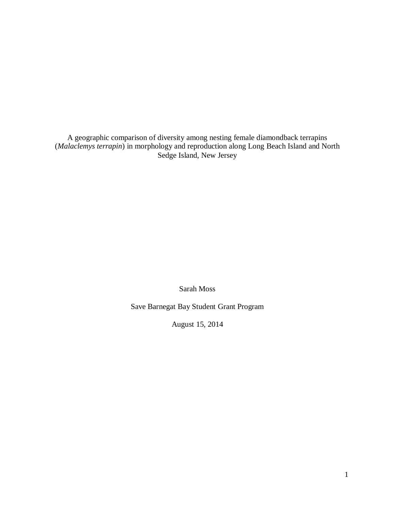A geographic comparison of diversity among nesting female diamondback terrapins (*Malaclemys terrapin*) in morphology and reproduction along Long Beach Island and North Sedge Island, New Jersey

Sarah Moss

Save Barnegat Bay Student Grant Program

August 15, 2014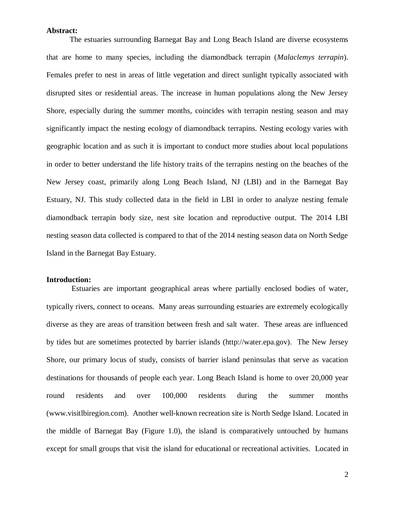### **Abstract:**

The estuaries surrounding Barnegat Bay and Long Beach Island are diverse ecosystems that are home to many species, including the diamondback terrapin (*Malaclemys terrapin*). Females prefer to nest in areas of little vegetation and direct sunlight typically associated with disrupted sites or residential areas. The increase in human populations along the New Jersey Shore, especially during the summer months, coincides with terrapin nesting season and may significantly impact the nesting ecology of diamondback terrapins. Nesting ecology varies with geographic location and as such it is important to conduct more studies about local populations in order to better understand the life history traits of the terrapins nesting on the beaches of the New Jersey coast, primarily along Long Beach Island, NJ (LBI) and in the Barnegat Bay Estuary, NJ. This study collected data in the field in LBI in order to analyze nesting female diamondback terrapin body size, nest site location and reproductive output. The 2014 LBI nesting season data collected is compared to that of the 2014 nesting season data on North Sedge Island in the Barnegat Bay Estuary.

#### **Introduction:**

Estuaries are important geographical areas where partially enclosed bodies of water, typically rivers, connect to oceans. Many areas surrounding estuaries are extremely ecologically diverse as they are areas of transition between fresh and salt water. These areas are influenced by tides but are sometimes protected by barrier islands (http://water.epa.gov). The New Jersey Shore, our primary locus of study, consists of barrier island peninsulas that serve as vacation destinations for thousands of people each year. Long Beach Island is home to over 20,000 year round residents and over 100,000 residents during the summer months (www.visitlbiregion.com). Another well-known recreation site is North Sedge Island. Located in the middle of Barnegat Bay (Figure 1.0), the island is comparatively untouched by humans except for small groups that visit the island for educational or recreational activities. Located in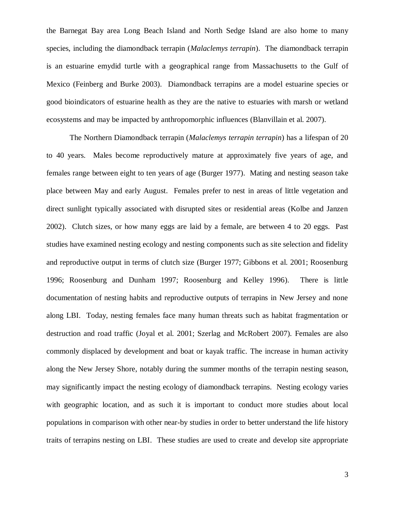the Barnegat Bay area Long Beach Island and North Sedge Island are also home to many species, including the diamondback terrapin (*Malaclemys terrapin*). The diamondback terrapin is an estuarine emydid turtle with a geographical range from Massachusetts to the Gulf of Mexico (Feinberg and Burke 2003). Diamondback terrapins are a model estuarine species or good bioindicators of estuarine health as they are the native to estuaries with marsh or wetland ecosystems and may be impacted by anthropomorphic influences (Blanvillain et al. 2007).

The Northern Diamondback terrapin (*Malaclemys terrapin terrapin*) has a lifespan of 20 to 40 years. Males become reproductively mature at approximately five years of age, and females range between eight to ten years of age (Burger 1977). Mating and nesting season take place between May and early August. Females prefer to nest in areas of little vegetation and direct sunlight typically associated with disrupted sites or residential areas (Kolbe and Janzen 2002). Clutch sizes, or how many eggs are laid by a female, are between 4 to 20 eggs. Past studies have examined nesting ecology and nesting components such as site selection and fidelity and reproductive output in terms of clutch size (Burger 1977; Gibbons et al. 2001; Roosenburg 1996; Roosenburg and Dunham 1997; Roosenburg and Kelley 1996). There is little documentation of nesting habits and reproductive outputs of terrapins in New Jersey and none along LBI. Today, nesting females face many human threats such as habitat fragmentation or destruction and road traffic (Joyal et al. 2001; Szerlag and McRobert 2007). Females are also commonly displaced by development and boat or kayak traffic. The increase in human activity along the New Jersey Shore, notably during the summer months of the terrapin nesting season, may significantly impact the nesting ecology of diamondback terrapins. Nesting ecology varies with geographic location, and as such it is important to conduct more studies about local populations in comparison with other near-by studies in order to better understand the life history traits of terrapins nesting on LBI. These studies are used to create and develop site appropriate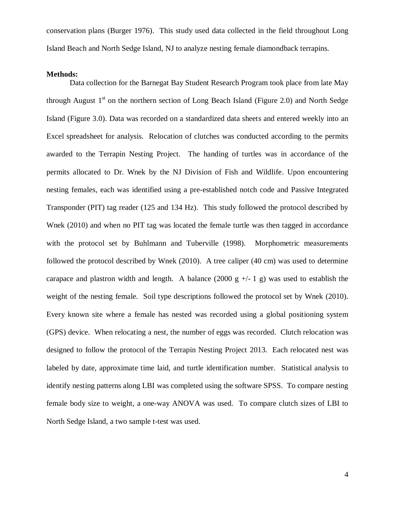conservation plans (Burger 1976). This study used data collected in the field throughout Long Island Beach and North Sedge Island, NJ to analyze nesting female diamondback terrapins.

### **Methods:**

Data collection for the Barnegat Bay Student Research Program took place from late May through August  $1<sup>st</sup>$  on the northern section of Long Beach Island (Figure 2.0) and North Sedge Island (Figure 3.0). Data was recorded on a standardized data sheets and entered weekly into an Excel spreadsheet for analysis. Relocation of clutches was conducted according to the permits awarded to the Terrapin Nesting Project. The handing of turtles was in accordance of the permits allocated to Dr. Wnek by the NJ Division of Fish and Wildlife. Upon encountering nesting females, each was identified using a pre-established notch code and Passive Integrated Transponder (PIT) tag reader (125 and 134 Hz). This study followed the protocol described by Wnek (2010) and when no PIT tag was located the female turtle was then tagged in accordance with the protocol set by Buhlmann and Tuberville (1998). Morphometric measurements followed the protocol described by Wnek (2010). A tree caliper (40 cm) was used to determine carapace and plastron width and length. A balance (2000 g  $+/-1$  g) was used to establish the weight of the nesting female. Soil type descriptions followed the protocol set by Wnek (2010). Every known site where a female has nested was recorded using a global positioning system (GPS) device. When relocating a nest, the number of eggs was recorded. Clutch relocation was designed to follow the protocol of the Terrapin Nesting Project 2013. Each relocated nest was labeled by date, approximate time laid, and turtle identification number. Statistical analysis to identify nesting patterns along LBI was completed using the software SPSS. To compare nesting female body size to weight, a one-way ANOVA was used. To compare clutch sizes of LBI to North Sedge Island, a two sample t-test was used.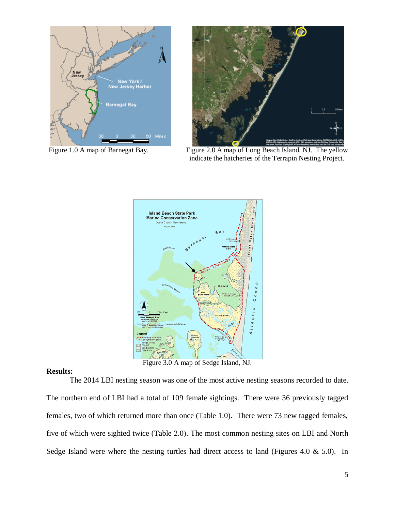



Figure 1.0 A map of Barnegat Bay. Figure 2.0 A map of Long Beach Island, NJ. The yellow indicate the hatcheries of the Terrapin Nesting Project.



Figure 3.0 A map of Sedge Island, NJ.

# **Results:**

The 2014 LBI nesting season was one of the most active nesting seasons recorded to date. The northern end of LBI had a total of 109 female sightings. There were 36 previously tagged females, two of which returned more than once (Table 1.0). There were 73 new tagged females, five of which were sighted twice (Table 2.0). The most common nesting sites on LBI and North Sedge Island were where the nesting turtles had direct access to land (Figures 4.0 & 5.0). In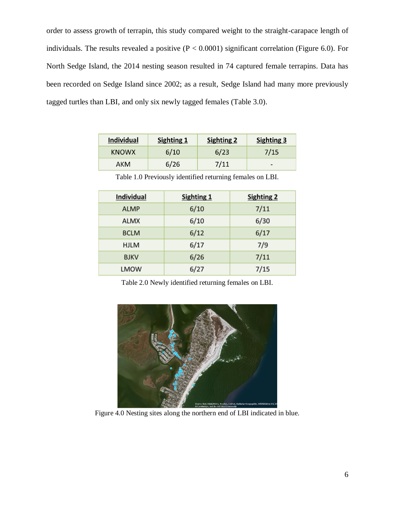order to assess growth of terrapin, this study compared weight to the straight-carapace length of individuals. The results revealed a positive  $(P < 0.0001)$  significant correlation (Figure 6.0). For North Sedge Island, the 2014 nesting season resulted in 74 captured female terrapins. Data has been recorded on Sedge Island since 2002; as a result, Sedge Island had many more previously tagged turtles than LBI, and only six newly tagged females (Table 3.0).

| <b>Individual</b> | Sighting 1 | <b>Sighting 2</b> | <b>Sighting 3</b>        |
|-------------------|------------|-------------------|--------------------------|
| <b>KNOWX</b>      | 6/10       | 6/23              | 7/15                     |
| АКМ               | 6/26       | 7/11              | $\overline{\phantom{0}}$ |

| <b>Individual</b> | <b>Sighting 1</b> | <b>Sighting 2</b> |  |
|-------------------|-------------------|-------------------|--|
| <b>ALMP</b>       | 6/10              | 7/11              |  |
| <b>ALMX</b>       | 6/10              | 6/30              |  |
| <b>BCLM</b>       | 6/12              | 6/17              |  |
| <b>HJLM</b>       | 6/17              | 7/9               |  |
| <b>BJKV</b>       | 6/26              | 7/11              |  |
| <b>LMOW</b>       | 6/27              | 7/15              |  |

Table 1.0 Previously identified returning females on LBI.

Table 2.0 Newly identified returning females on LBI.



Figure 4.0 Nesting sites along the northern end of LBI indicated in blue.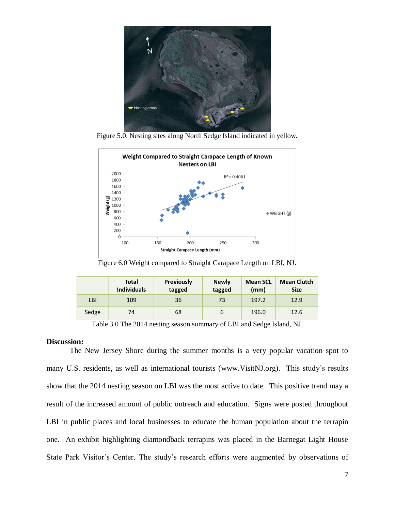

Figure 5.0. Nesting sites along North Sedge Island indicated in yellow.



Figure 6.0 Weight compared to Straight Carapace Length on LBI, NJ.

|       | <b>Total</b><br><b>Individuals</b> | <b>Previously</b><br>tagged | <b>Newly</b><br>tagged | <b>Mean SCL</b><br>(mm) | <b>Mean Clutch</b><br><b>Size</b> |
|-------|------------------------------------|-----------------------------|------------------------|-------------------------|-----------------------------------|
| LBI   | 109                                | 36                          | 73                     | 197.2                   | 12.9                              |
| Sedge | 74                                 | 68                          | b                      | 196.0                   | 12.6                              |

Table 3.0 The 2014 nesting season summary of LBI and Sedge Island, NJ.

### **Discussion:**

The New Jersey Shore during the summer months is a very popular vacation spot to many U.S. residents, as well as international tourists (www.VisitNJ.org). This study's results show that the 2014 nesting season on LBI was the most active to date. This positive trend may a result of the increased amount of public outreach and education. Signs were posted throughout LBI in public places and local businesses to educate the human population about the terrapin one. An exhibit highlighting diamondback terrapins was placed in the Barnegat Light House State Park Visitor's Center. The study's research efforts were augmented by observations of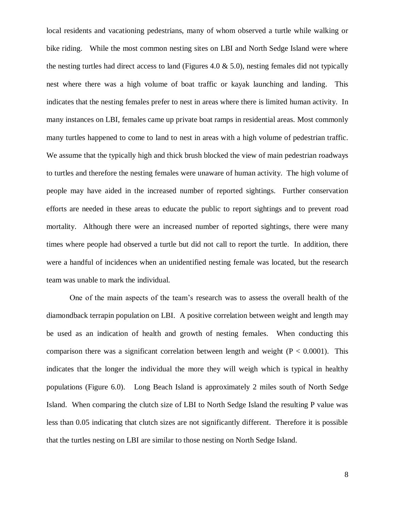local residents and vacationing pedestrians, many of whom observed a turtle while walking or bike riding. While the most common nesting sites on LBI and North Sedge Island were where the nesting turtles had direct access to land (Figures 4.0  $\&$  5.0), nesting females did not typically nest where there was a high volume of boat traffic or kayak launching and landing. This indicates that the nesting females prefer to nest in areas where there is limited human activity. In many instances on LBI, females came up private boat ramps in residential areas. Most commonly many turtles happened to come to land to nest in areas with a high volume of pedestrian traffic. We assume that the typically high and thick brush blocked the view of main pedestrian roadways to turtles and therefore the nesting females were unaware of human activity. The high volume of people may have aided in the increased number of reported sightings. Further conservation efforts are needed in these areas to educate the public to report sightings and to prevent road mortality. Although there were an increased number of reported sightings, there were many times where people had observed a turtle but did not call to report the turtle. In addition, there were a handful of incidences when an unidentified nesting female was located, but the research team was unable to mark the individual.

One of the main aspects of the team's research was to assess the overall health of the diamondback terrapin population on LBI. A positive correlation between weight and length may be used as an indication of health and growth of nesting females. When conducting this comparison there was a significant correlation between length and weight  $(P < 0.0001)$ . This indicates that the longer the individual the more they will weigh which is typical in healthy populations (Figure 6.0). Long Beach Island is approximately 2 miles south of North Sedge Island. When comparing the clutch size of LBI to North Sedge Island the resulting P value was less than 0.05 indicating that clutch sizes are not significantly different. Therefore it is possible that the turtles nesting on LBI are similar to those nesting on North Sedge Island.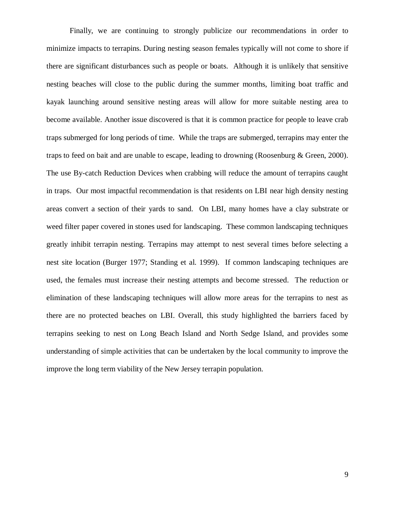Finally, we are continuing to strongly publicize our recommendations in order to minimize impacts to terrapins. During nesting season females typically will not come to shore if there are significant disturbances such as people or boats. Although it is unlikely that sensitive nesting beaches will close to the public during the summer months, limiting boat traffic and kayak launching around sensitive nesting areas will allow for more suitable nesting area to become available. Another issue discovered is that it is common practice for people to leave crab traps submerged for long periods of time. While the traps are submerged, terrapins may enter the traps to feed on bait and are unable to escape, leading to drowning (Roosenburg & Green, 2000). The use By-catch Reduction Devices when crabbing will reduce the amount of terrapins caught in traps. Our most impactful recommendation is that residents on LBI near high density nesting areas convert a section of their yards to sand. On LBI, many homes have a clay substrate or weed filter paper covered in stones used for landscaping. These common landscaping techniques greatly inhibit terrapin nesting. Terrapins may attempt to nest several times before selecting a nest site location (Burger 1977; Standing et al. 1999). If common landscaping techniques are used, the females must increase their nesting attempts and become stressed. The reduction or elimination of these landscaping techniques will allow more areas for the terrapins to nest as there are no protected beaches on LBI. Overall, this study highlighted the barriers faced by terrapins seeking to nest on Long Beach Island and North Sedge Island, and provides some understanding of simple activities that can be undertaken by the local community to improve the improve the long term viability of the New Jersey terrapin population.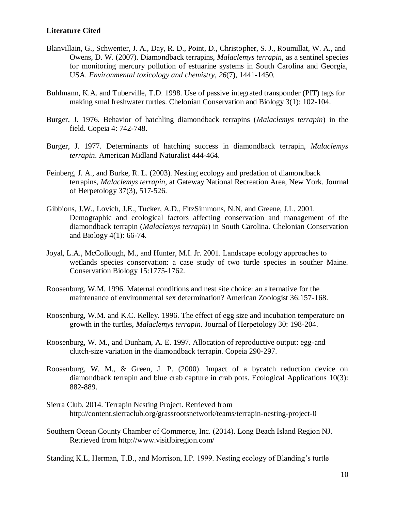# **Literature Cited**

- Blanvillain, G., Schwenter, J. A., Day, R. D., Point, D., Christopher, S. J., Roumillat, W. A., and Owens, D. W. (2007). Diamondback terrapins, *Malaclemys terrapin*, as a sentinel species for monitoring mercury pollution of estuarine systems in South Carolina and Georgia, USA. *Environmental toxicology and chemistry*, *26*(7), 1441-1450.
- Buhlmann, K.A. and Tuberville, T.D. 1998. Use of passive integrated transponder (PIT) tags for making smal freshwater turtles. Chelonian Conservation and Biology 3(1): 102-104.
- Burger, J. 1976. Behavior of hatchling diamondback terrapins (*Malaclemys terrapin*) in the field. Copeia 4: 742-748.
- Burger, J. 1977. Determinants of hatching success in diamondback terrapin, *Malaclemys terrapin*. American Midland Naturalist 444-464.
- Feinberg, J. A., and Burke, R. L. (2003). Nesting ecology and predation of diamondback terrapins, *Malaclemys terrapin*, at Gateway National Recreation Area, New York. Journal of Herpetology 37(3), 517-526.
- Gibbions, J.W., Lovich, J.E., Tucker, A.D., FitzSimmons, N.N, and Greene, J.L. 2001. Demographic and ecological factors affecting conservation and management of the diamondback terrapin (*Malaclemys terrapin*) in South Carolina. Chelonian Conservation and Biology 4(1): 66-74.
- Joyal, L.A., McCollough, M., and Hunter, M.I. Jr. 2001. Landscape ecology approaches to wetlands species conservation: a case study of two turtle species in souther Maine. Conservation Biology 15:1775-1762.
- Roosenburg, W.M. 1996. Maternal conditions and nest site choice: an alternative for the maintenance of environmental sex determination? American Zoologist 36:157-168.
- Roosenburg, W.M. and K.C. Kelley. 1996. The effect of egg size and incubation temperature on growth in the turtles, *Malaclemys terrapin*. Journal of Herpetology 30: 198-204.
- Roosenburg, W. M., and Dunham, A. E. 1997. Allocation of reproductive output: egg-and clutch-size variation in the diamondback terrapin. Copeia 290-297.
- Roosenburg, W. M., & Green, J. P. (2000). Impact of a bycatch reduction device on diamondback terrapin and blue crab capture in crab pots. Ecological Applications 10(3): 882-889.
- Sierra Club. 2014. Terrapin Nesting Project. Retrieved from http://content.sierraclub.org/grassrootsnetwork/teams/terrapin-nesting-project-0
- Southern Ocean County Chamber of Commerce, Inc. (2014). Long Beach Island Region NJ. Retrieved from http://www.visitlbiregion.com/

Standing K.L, Herman, T.B., and Morrison, I.P. 1999. Nesting ecology of Blanding's turtle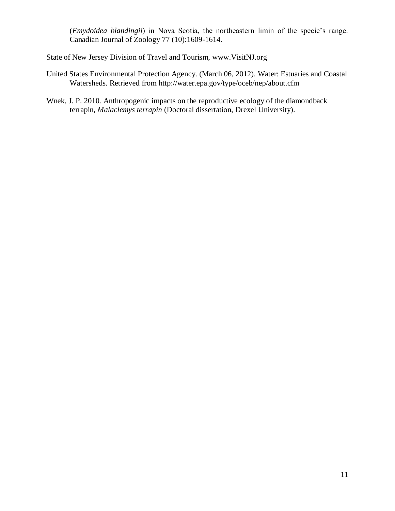(*Emydoidea blandingii*) in Nova Scotia, the northeastern limin of the specie's range. Canadian Journal of Zoology 77 (10):1609-1614.

State of New Jersey Division of Travel and Tourism, www.VisitNJ.org

- United States Environmental Protection Agency. (March 06, 2012). Water: Estuaries and Coastal Watersheds. Retrieved from http://water.epa.gov/type/oceb/nep/about.cfm
- Wnek, J. P. 2010. Anthropogenic impacts on the reproductive ecology of the diamondback terrapin, *Malaclemys terrapin* (Doctoral dissertation, Drexel University).